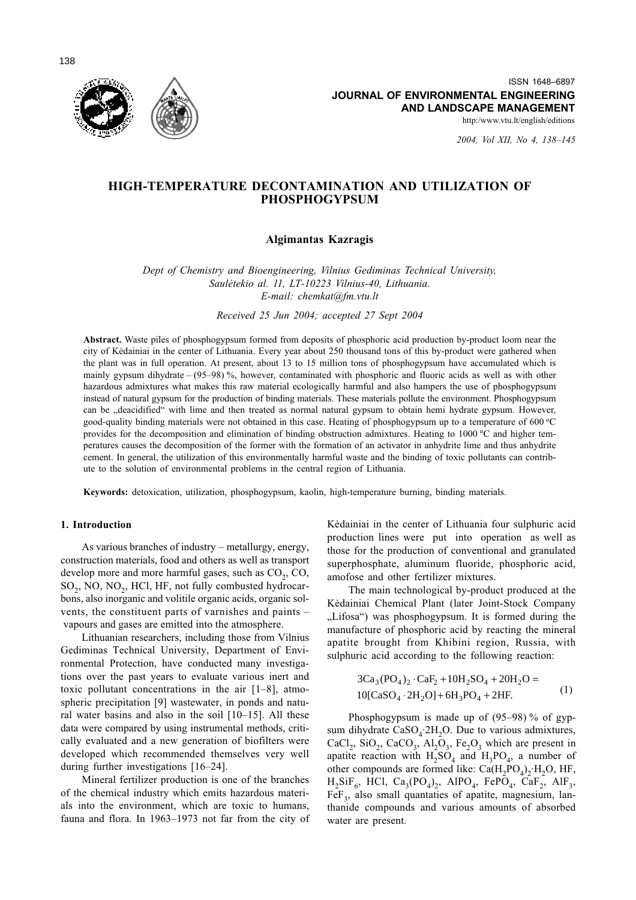http:/www.vtu.lt/english/editions

2004, Vol XII, No 4, 138-145

# HIGH-TEMPERATURE DECONTAMINATION AND UTILIZATION OF **PHOSPHOGYPSUM**

## **Algimantas Kazragis**

Dept of Chemistry and Bioengineering, Vilnius Gediminas Technical University, Saulėtekio al. 11, LT-10223 Vilnius-40, Lithuania. E-mail: chemkat@fm.vtu.lt

Received 25 Jun 2004; accepted 27 Sept 2004

Abstract. Waste piles of phosphogypsum formed from deposits of phosphoric acid production by-product loom near the city of Kedainiai in the center of Lithuania. Every year about 250 thousand tons of this by-product were gathered when the plant was in full operation. At present, about 13 to 15 million tons of phosphogypsum have accumulated which is mainly gypsum dihydrate  $- (95-98)$ %, however, contaminated with phosphoric and fluoric acids as well as with other hazardous admixtures what makes this raw material ecologically harmful and also hampers the use of phosphogypsum instead of natural gypsum for the production of binding materials. These materials pollute the environment. Phosphogypsum can be "deacidified" with lime and then treated as normal natural gypsum to obtain hemi hydrate gypsum. However, good-quality binding materials were not obtained in this case. Heating of phosphogypsum up to a temperature of 600 °C provides for the decomposition and elimination of binding obstruction admixtures. Heating to 1000 °C and higher temperatures causes the decomposition of the former with the formation of an activator in anhydrite lime and thus anhydrite cement. In general, the utilization of this environmentally harmful waste and the binding of toxic pollutants can contribute to the solution of environmental problems in the central region of Lithuania.

Keywords: detoxication, utilization, phosphogypsum, kaolin, high-temperature burning, binding materials.

## 1. Introduction

As various branches of industry – metallurgy, energy, construction materials, food and others as well as transport develop more and more harmful gases, such as CO<sub>2</sub>, CO<sub>2</sub> SO<sub>2</sub>, NO, NO<sub>2</sub>, HCl, HF, not fully combusted hydrocarbons, also inorganic and volitile organic acids, organic solvents, the constituent parts of varnishes and paints vapours and gases are emitted into the atmosphere.

Lithuanian researchers, including those from Vilnius Gediminas Technical University, Department of Environmental Protection, have conducted many investigations over the past years to evaluate various inert and toxic pollutant concentrations in the air  $[1-8]$ , atmospheric precipitation [9] wastewater, in ponds and natural water basins and also in the soil  $[10-15]$ . All these data were compared by using instrumental methods, critically evaluated and a new generation of biofilters were developed which recommended themselves very well during further investigations  $[16-24]$ .

Mineral fertilizer production is one of the branches of the chemical industry which emits hazardous materials into the environment, which are toxic to humans, fauna and flora. In 1963–1973 not far from the city of Kėdainiai in the center of Lithuania four sulphuric acid production lines were put into operation as well as those for the production of conventional and granulated superphosphate, aluminum fluoride, phosphoric acid, amofose and other fertilizer mixtures.

The main technological by-product produced at the Kėdainiai Chemical Plant (later Joint-Stock Company "Lifosa") was phosphogypsum. It is formed during the manufacture of phosphoric acid by reacting the mineral apatite brought from Khibini region, Russia, with sulphuric acid according to the following reaction:

$$
3Ca3(PO4)2 \cdot CaF2 + 10H2SO4 + 20H2O = 10[CaSO4 \cdot 2H2O] + 6H3PO4 + 2HF.
$$
 (1)

Phosphogypsum is made up of  $(95-98)$ % of gypsum dihydrate  $CaSO<sub>4</sub>$ :2H<sub>2</sub>O. Due to various admixtures, CaCl<sub>2</sub>, SiO<sub>2</sub>, CaCO<sub>3</sub>, Al<sub>2</sub>O<sub>3</sub>, Fe<sub>2</sub>O<sub>3</sub> which are present in apatite reaction with  $H_2SO_4$  and  $H_3PO_4$ , a number of other compounds are formed like:  $Ca(H_2PO_4)$ , H<sub>2</sub>O, HF,  $H_2SiF_6$ , HCl, Ca<sub>3</sub>(PO<sub>4</sub>)<sub>2</sub>, AlPO<sub>4</sub>, FePO<sub>4</sub>, CaF<sub>2</sub>, AlF<sub>3</sub>, FeF<sub>3</sub>, also small quantaties of apatite, magnesium, lanthanide compounds and various amounts of absorbed water are present.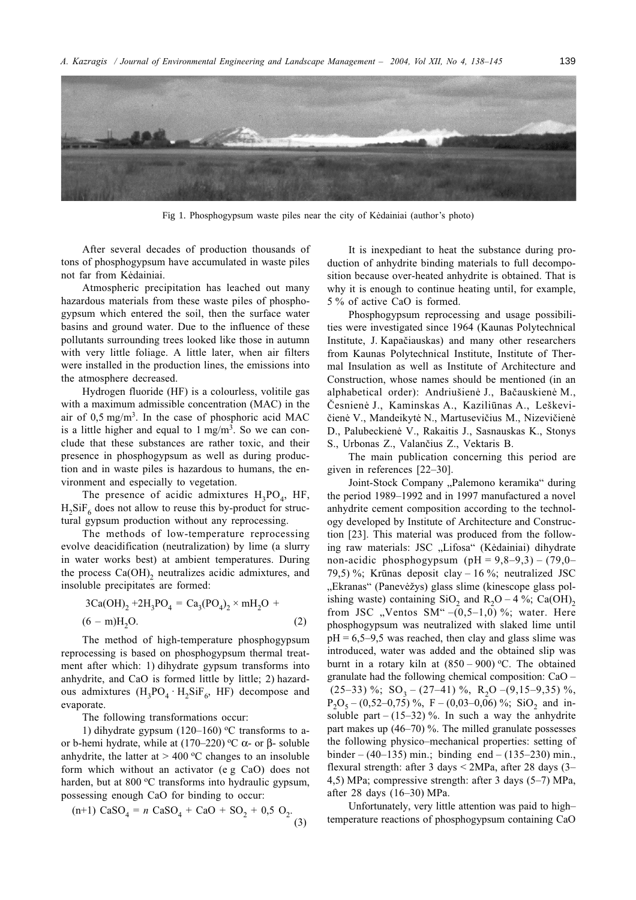

Fig 1. Phosphogypsum waste piles near the city of Kedainiai (author's photo)

After several decades of production thousands of tons of phosphogypsum have accumulated in waste piles not far from Kėdainiai.

Atmospheric precipitation has leached out many hazardous materials from these waste piles of phosphogypsum which entered the soil, then the surface water basins and ground water. Due to the influence of these pollutants surrounding trees looked like those in autumn with very little foliage. A little later, when air filters were installed in the production lines, the emissions into the atmosphere decreased.

Hydrogen fluoride (HF) is a colourless, volitile gas with a maximum admissible concentration (MAC) in the air of  $0.5 \text{ mg/m}^3$ . In the case of phosphoric acid MAC is a little higher and equal to  $1 \text{ mg/m}^3$ . So we can conclude that these substances are rather toxic, and their presence in phosphogypsum as well as during production and in waste piles is hazardous to humans, the environment and especially to vegetation.

The presence of acidic admixtures  $H_3PO_4$ , HF,  $H_2SiF_6$  does not allow to reuse this by-product for structural gypsum production without any reprocessing.

The methods of low-temperature reprocessing evolve deacidification (neutralization) by lime (a slurry in water works best) at ambient temperatures. During the process  $Ca(OH)$ <sub>2</sub> neutralizes acidic admixtures, and insoluble precipitates are formed:

$$
3Ca(OH)2 + 2H3PO4 = Ca3(PO4)2 × mH2O + (6 - m)H2O.
$$
 (2)

The method of high-temperature phosphogypsum reprocessing is based on phosphogypsum thermal treatment after which: 1) dihydrate gypsum transforms into anhydrite, and CaO is formed little by little; 2) hazardous admixtures  $(H_3PO_4 \cdot H_2SiF_6$ , HF) decompose and evaporate.

The following transformations occur:

1) dihydrate gypsum  $(120-160)$  °C transforms to aor b-hemi hydrate, while at  $(170-220)$  °C  $\alpha$ - or  $\beta$ - soluble anhydrite, the latter at  $> 400$  °C changes to an insoluble form which without an activator (e g CaO) does not harden, but at 800 °C transforms into hydraulic gypsum, possessing enough CaO for binding to occur:

(n+1) 
$$
\text{CaSO}_4 = n \text{ CaSO}_4 + \text{CaO} + \text{SO}_2 + 0.5 \text{ O}_2
$$
 (3)

It is inexpediant to heat the substance during production of anhydrite binding materials to full decomposition because over-heated anhydrite is obtained. That is why it is enough to continue heating until, for example, 5 % of active CaO is formed.

Phosphogypsum reprocessing and usage possibilities were investigated since 1964 (Kaunas Polytechnical Institute, J. Kapačiauskas) and many other researchers from Kaunas Polytechnical Institute, Institute of Thermal Insulation as well as Institute of Architecture and Construction, whose names should be mentioned (in an alphabetical order): Andriušienė J., Bačauskienė M., Česnienė J., Kaminskas A., Kaziliūnas A., Leškevičienė V., Mandeikytė N., Martusevičius M., Nizevičienė D., Palubeckienė V., Rakaitis J., Sasnauskas K., Stonys S., Urbonas Z., Valančius Z., Vektaris B.

The main publication concerning this period are given in references  $[22-30]$ .

Joint-Stock Company "Palemono keramika" during the period 1989-1992 and in 1997 manufactured a novel anhydrite cement composition according to the technology developed by Institute of Architecture and Construction [23]. This material was produced from the following raw materials: JSC "Lifosa" (Kėdainiai) dihydrate non-acidic phosphogypsum (pH =  $9,8-9,3$ ) – (79,0– 79,5)%; Krūnas deposit clay – 16%; neutralized JSC "Ekranas" (Panevėžys) glass slime (kinescope glass polishing waste) containing  $SiO_2$  and  $R_2O - 4\%$ ; Ca(OH)<sub>2</sub> from JSC "Ventos SM" $-(0,5-1,0)$ %; water. Here phosphogypsum was neutralized with slaked lime until  $pH = 6,5-9,5$  was reached, then clay and glass slime was introduced, water was added and the obtained slip was burnt in a rotary kiln at  $(850 - 900)$  °C. The obtained granulate had the following chemical composition: CaO –  $(25-33)$  %; SO<sub>3</sub> –  $(27-41)$  %, R<sub>2</sub>O –  $(9,15-9,35)$  %,  $P_2O_5 - (0.52 - 0.75)$ %, F - (0.03-0.06)%; SiO<sub>2</sub> and insoluble part –  $(15-32)$ %. In such a way the anhydrite part makes up  $(46-70)$ %. The milled granulate possesses the following physico-mechanical properties: setting of binder –  $(40-135)$  min.; binding end –  $(135-230)$  min., flexural strength: after  $3 \text{ days} < 2 \text{MPa}$ , after 28 days (3-4,5) MPa; compressive strength: after 3 days  $(5-7)$  MPa, after 28 days (16–30) MPa.

Unfortunately, very little attention was paid to hightemperature reactions of phosphogypsum containing CaO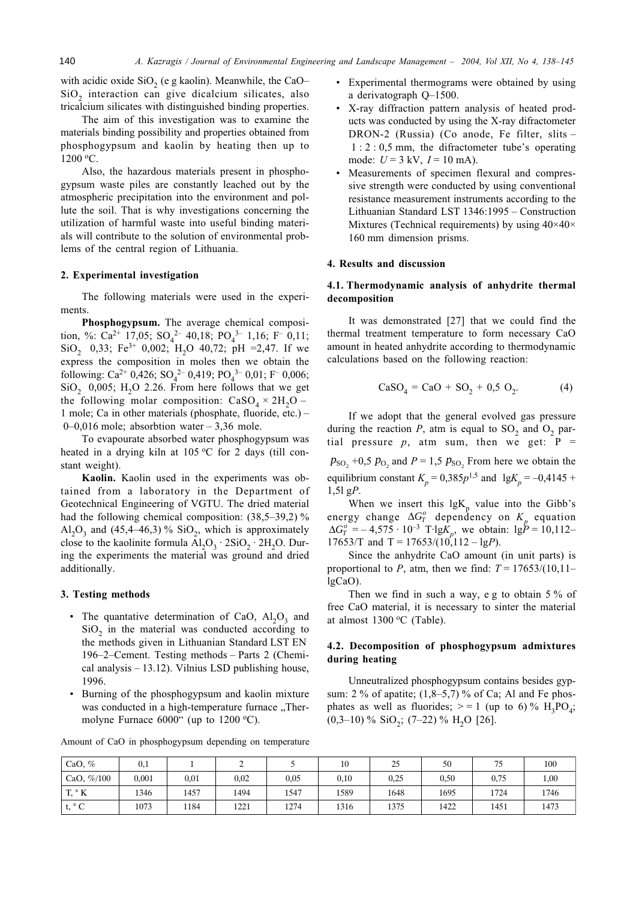with acidic oxide  $SiO<sub>2</sub>$  (e g kaolin). Meanwhile, the CaO-SiO<sub>2</sub> interaction can give dicalcium silicates, also tricalcium silicates with distinguished binding properties.

The aim of this investigation was to examine the materials binding possibility and properties obtained from phosphogypsum and kaolin by heating then up to 1200 °C.

Also, the hazardous materials present in phosphogypsum waste piles are constantly leached out by the atmospheric precipitation into the environment and pollute the soil. That is why investigations concerning the utilization of harmful waste into useful binding materials will contribute to the solution of environmental problems of the central region of Lithuania.

## 2. Experimental investigation

The following materials were used in the experiments.

Phosphogypsum. The average chemical composition, %: Ca<sup>2+</sup> 17,05; SO<sub>4</sub><sup>2-</sup> 40,18; PO<sub>4</sub><sup>3-</sup> 1,16; F<sup>-</sup> 0,11; SiO<sub>2</sub> 0,33; Fe<sup>3+</sup> 0,002; H<sub>2</sub>O 40,72; pH =2,47. If we express the composition in moles then we obtain the following: Ca<sup>2+</sup> 0,426; SO<sub>4</sub><sup>2-</sup> 0,419; PO<sub>4</sub><sup>3-</sup> 0,01; F<sup>-</sup> 0,006;  $SiO<sub>2</sub>$  0,005; H<sub>2</sub>O 2.26. From here follows that we get the following molar composition:  $CaSO<sub>4</sub> \times 2H<sub>2</sub>O -$ 1 mole; Ca in other materials (phosphate, fluoride, etc.) - $0-0.016$  mole; absorbtion water  $-3.36$  mole.

To evapourate absorbed water phosphogypsum was heated in a drying kiln at 105 °C for 2 days (till constant weight).

Kaolin. Kaolin used in the experiments was obtained from a laboratory in the Department of Geotechnical Engineering of VGTU. The dried material had the following chemical composition:  $(38,5-39,2)$ %  $Al_2O_3$  and (45,4–46,3)% SiO<sub>2</sub>, which is approximately close to the kaolinite formula  $Al_2O_3 \cdot 2SiO_2 \cdot 2H_2O$ . During the experiments the material was ground and dried additionally.

#### 3. Testing methods

- The quantative determination of CaO,  $Al_2O_3$  and  $SiO<sub>2</sub>$  in the material was conducted according to the methods given in Lithuanian Standard LST EN 196–2–Cement. Testing methods – Parts 2 (Chemical analysis  $-13.12$ ). Vilnius LSD publishing house, 1996.
- Burning of the phosphogypsum and kaolin mixture was conducted in a high-temperature furnace "Thermolyne Furnace  $6000$ " (up to  $1200$  °C).

Amount of CaO in phosphogypsum depending on temperature

- Experimental thermograms were obtained by using a derivatograph  $Q-1500$ .
- X-ray diffraction pattern analysis of heated products was conducted by using the X-ray difractometer DRON-2 (Russia) (Co anode, Fe filter, slits - $1:2:0.5$  mm, the difractometer tube's operating mode:  $U = 3$  kV,  $I = 10$  mA).
- Measurements of specimen flexural and compressive strength were conducted by using conventional resistance measurement instruments according to the Lithuanian Standard LST 1346:1995 – Construction Mixtures (Technical requirements) by using  $40 \times 40 \times$ 160 mm dimension prisms.

### 4. Results and discussion

## 4.1. Thermodynamic analysis of anhydrite thermal decomposition

It was demonstrated [27] that we could find the thermal treatment temperature to form necessary CaO amount in heated anhydrite according to thermodynamic calculations based on the following reaction:

$$
CaSO_4 = CaO + SO_2 + 0.5 O_2. \tag{4}
$$

If we adopt that the general evolved gas pressure during the reaction  $P$ , atm is equal to  $SO_2$  and  $O_2$  partial pressure  $p$ , atm sum, then we get:  $P =$  $p_{\text{SO}_2}$  +0,5  $p_{\text{O}_2}$  and  $P = 1.5 p_{\text{SO}_2}$  From here we obtain the equilibrium constant  $K_p = 0.385p^{1.5}$  and  $lgK_p = -0.4145 +$  $1,51$  gP.

When we insert this  $lgK_p$  value into the Gibb's energy change  $\Delta G_T^o$  dependency on  $K_n$  equation  $\Delta G_T^o = -4.575 \cdot 10^{-3}$  T·lgK<sub>n</sub>, we obtain: lgP = 10,112– 17653/T and T =  $17653/(10,112 - \lg P)$ .

Since the anhydrite CaO amount (in unit parts) is proportional to P, atm, then we find:  $T = 17653/(10,11$  $lgCaO$ ).

Then we find in such a way, e g to obtain  $5\%$  of free CaO material, it is necessary to sinter the material at almost 1300 °C (Table).

## 4.2. Decomposition of phosphogypsum admixtures during heating

Unneutralized phosphogypsum contains besides gypsum:  $2\%$  of apatite;  $(1,8-5,7)\%$  of Ca; Al and Fe phosphates as well as fluorides;  $> = 1$  (up to 6) % H<sub>3</sub>PO<sub>4</sub>;  $(0,3-10)$  % SiO<sub>2</sub>;  $(7-22)$  % H<sub>2</sub>O [26].

| CaO, $\%$       | $_{0,1}$ |      | ∸    |      | 10   | 25   | 50   | 75   | 100  |
|-----------------|----------|------|------|------|------|------|------|------|------|
| CaO, $\% / 100$ | 0.001    | 0.01 | 0,02 | 0.05 | 0,10 | 0,25 | 0,50 | 0.75 | 1,00 |
| $T, \degree K$  | 1346     | 1457 | 1494 | 1547 | 1589 | 1648 | 1695 | 1724 | 1746 |
| t. $^{\circ}$ C | 1073     | 184  | 1221 | 1274 | 1316 | 1375 | 1422 | 1451 | 1473 |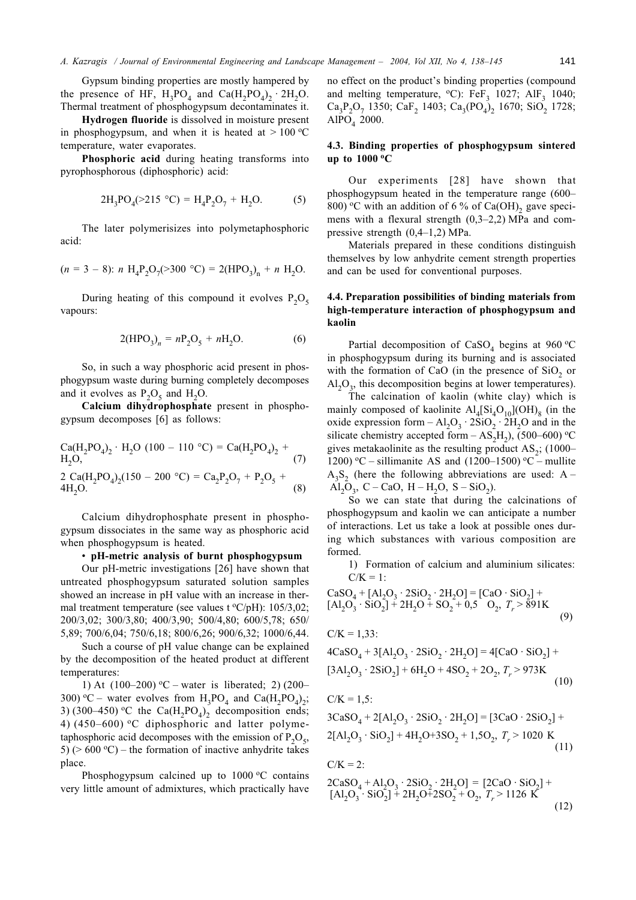Gypsum binding properties are mostly hampered by the presence of HF,  $H_3PO_4$  and  $Ca(H_2PO_4)$ ,  $2H_2O$ . Thermal treatment of phosphogypsum decontaminates it.

Hydrogen fluoride is dissolved in moisture present in phosphogypsum, and when it is heated at  $> 100 °C$ temperature, water evaporates.

Phosphoric acid during heating transforms into pyrophosphorous (diphosphoric) acid:

$$
2H_3PO_4(>215 °C) = H_4P_2O_7 + H_2O.
$$
 (5)

The later polymerisizes into polymetaphosphoric acid:

$$
(n = 3 - 8)
$$
:  $n H_4P_2O_7(>300 °C) = 2(HPO_3)_n + n H_2O.$ 

During heating of this compound it evolves  $P_2O_5$ vapours:

$$
2(\text{HPO}_3)_n = n\text{P}_2\text{O}_5 + n\text{H}_2\text{O}.\tag{6}
$$

So, in such a way phosphoric acid present in phosphogypsum waste during burning completely decomposes and it evolves as  $P_2O_5$  and H<sub>2</sub>O.

Calcium dihydrophosphate present in phosphogypsum decomposes [6] as follows:

Calcium dihydrophosphate present in phosphogypsum dissociates in the same way as phosphoric acid when phosphogypsum is heated.

### • pH-metric analysis of burnt phosphogypsum

Our pH-metric investigations [26] have shown that untreated phosphogypsum saturated solution samples showed an increase in pH value with an increase in thermal treatment temperature (see values t  ${}^oC/pH$ ): 105/3,02; 200/3,02; 300/3,80; 400/3,90; 500/4,80; 600/5,78; 650/ 5,89; 700/6,04; 750/6,18; 800/6,26; 900/6,32; 1000/6,44.

Such a course of pH value change can be explained by the decomposition of the heated product at different temperatures:

1) At  $(100-200)$  °C – water is liberated; 2) (200– 300) °C – water evolves from  $H_3PO_4$  and  $Ca(H_2PO_4)_2$ ; 3) (300–450) °C the Ca( $H_2PO_4$ )<sub>2</sub> decomposition ends; 4)  $(450-600)$  °C diphosphoric and latter polymetaphosphoric acid decomposes with the emission of  $P_2O_5$ , 5) ( $> 600 \degree$ C) – the formation of inactive anhydrite takes place.

Phosphogypsum calcined up to  $1000 \, \text{°C}$  contains very little amount of admixtures, which practically have

no effect on the product's binding properties (compound and melting temperature,  $^{\circ}$ C): FeF<sub>3</sub> 1027; AlF<sub>3</sub> 1040;  $Ca_3P_2O_7$  1350;  $CaF_2$  1403;  $Ca_3(PO_4)_2$  1670;  $SiO_2$  1728; AlPO<sub>4</sub> 2000.

## 4.3. Binding properties of phosphogypsum sintered up to  $1000$  °C

Our experiments [28] have shown that phosphogypsum heated in the temperature range (600– 800) °C with an addition of 6 % of Ca(OH), gave specimens with a flexural strength  $(0,3-2,2)$  MPa and compressive strength  $(0,4-1,2)$  MPa.

Materials prepared in these conditions distinguish themselves by low anhydrite cement strength properties and can be used for conventional purposes.

## 4.4. Preparation possibilities of binding materials from high-temperature interaction of phosphogypsum and kaolin

Partial decomposition of CaSO<sub>4</sub> begins at 960 °C in phosphogypsum during its burning and is associated with the formation of CaO (in the presence of SiO<sub>2</sub> or  $Al_2O_3$ , this decomposition begins at lower temperatures).

The calcination of kaolin (white clay) which is mainly composed of kaolinite  $\text{Al}_4[\text{Si}_4\text{O}_{10}](\text{OH})_8$  (in the oxide expression form  $-Al_2O_3 \cdot 2SiO_2 \cdot 2H_2O$  and in the silicate chemistry accepted form  $-$  AS<sub>2</sub>H<sub>2</sub>), (500–600) °C gives metakaolinite as the resulting product  $AS_2$ ; (1000– 1200) °C – sillimanite AS and (1200–1500) °C – mullite  $A_3S_2$ , (here the following abbreviations are used: A – Al<sub>2</sub>O<sub>3</sub>, C – CaO, H – H<sub>2</sub>O, S – SiO<sub>2</sub>).

So we can state that during the calcinations of phosphogypsum and kaolin we can anticipate a number of interactions. Let us take a look at possible ones during which substances with various composition are formed.

1) Formation of calcium and aluminium silicates:  $C/K = 1$ :

$$
\begin{array}{l}\n\text{CaSO}_4 + [\text{Al}_2\text{O}_3 \cdot 2\text{SiO}_2 \cdot 2\text{H}_2\text{O}] = [\text{CaO} \cdot \text{SiO}_2] + \\
[\text{Al}_2\text{O}_3 \cdot \text{SiO}_2] + 2\text{H}_2\text{O} + \text{SO}_2 + 0.5 \quad \text{O}_2, T_r > 891\text{K}\n\end{array} \tag{9}
$$

$$
C/K = 1,33:
$$

$$
4CaSO_4 + 3[A1_2O_3 \cdot 2SiO_2 \cdot 2H_2O] = 4[CaO \cdot SiO_2] +[3Al_2O_3 \cdot 2SiO_2] + 6H_2O + 4SO_2 + 2O_2, T_r > 973K
$$
\n(10)

$$
C/K = 1,5
$$
:

$$
3CaSO4 + 2[A12O3 \cdot 2SiO2 \cdot 2H2O] = [3CaO \cdot 2SiO2] +2[A12O3 \cdot SiO2] + 4H2O+3SO2 + 1,5O2, Tr > 1020 K
$$
\n(11)

C/K = 2:  
\n
$$
2CaSO_4 + Al_2O_3 \cdot 2SiO_2 \cdot 2H_2O] = [2CaO \cdot SiO_2] + [Al_2O_3 \cdot SiO_2] + 2H_2O + 2SO_2 + O_2, T_r > 1126 \text{ K}
$$
\n(12)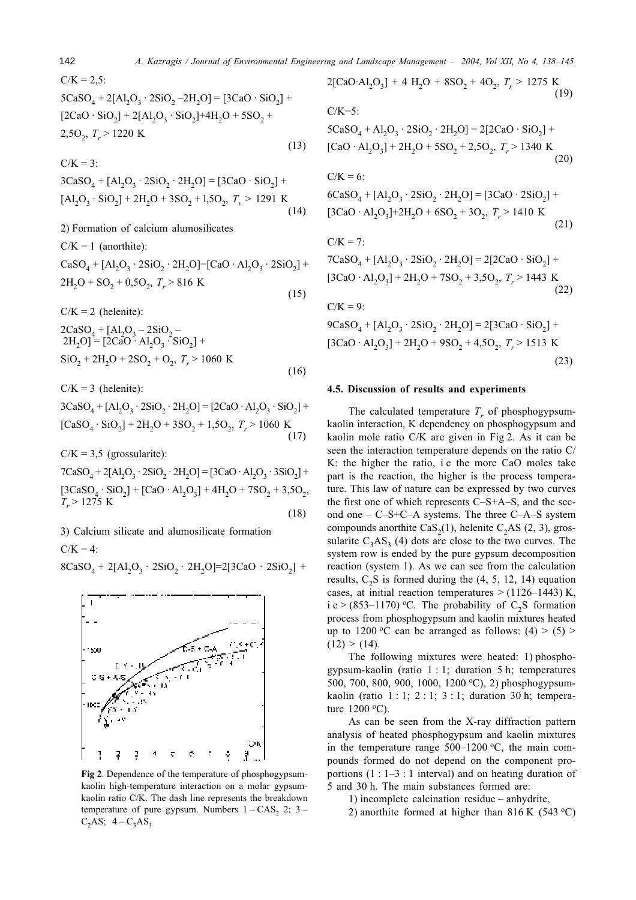142 145 A. Kazragis / Journal of Environmental Engineering and Landscape Management - 2004, Vol XII, No 4, 138-145

$$
C/K = 2,5:
$$
  
\n
$$
5CaSO_4 + 2[Al_2O_3 \cdot 2SiO_2 - 2H_2O] = [3CaO \cdot SiO_2] + [2CaO \cdot SiO_2] + 2[Al_2O_3 \cdot SiO_2] + 4H_2O + 5SO_2 + 2,5O_2, T_r > 1220 K
$$
\n(13)

$$
3CaSO_4 + [Al_2O_3 \cdot 2SiO_2 \cdot 2H_2O] = [3CaO \cdot SiO_2] +[Al_2O_3 \cdot SiO_2] + 2H_2O + 3SO_2 + 1,5O_2, T_r > 1291 \text{ K}
$$
\n(14)

2) Formation of calcium alumosilicates

 $C/K = 1$  (anorthite):

$$
CaSO_4 + [Al_2O_3 \cdot 2SiO_2 \cdot 2H_2O] = [CaO \cdot Al_2O_3 \cdot 2SiO_2] +2H_2O + SO_2 + 0,5O_2, T_r > 816 \text{ K}
$$
\n(15)

 $C/K = 2$  (helenite):

$$
2CaSO4 + [Al2O3 - 2SiO2 -2H2O] = [2CaO · Al2O3 · SiO2] +SiO2 + 2H2O + 2SO2 + O2, Tr > 1060 K
$$
\n(16)

 $C/K = 3$  (helenite):

 $3CaSO_4 + [Al_2O_3 \cdot 2SiO_2 \cdot 2H_2O] = [2CaO \cdot Al_2O_3 \cdot SiO_2] +$  $\text{[CaSO}_4 \cdot \text{SiO}_2\text{]} + 2\text{H}_2\text{O} + 3\text{SO}_2 + 1,5\text{O}_2, T_r > 1060 \text{ K}$  $(17)$ 

 $C/K = 3.5$  (grossularite):

 $7CaSO_4 + 2[A1_2O_3 \cdot 2SiO_2 \cdot 2H_2O] = [3CaO \cdot Al_2O_3 \cdot 3SiO_2] +$  $[3CaSO_4 \cdot SiO_2] + [CaO \cdot Al_2O_3] + 4H_2O + 7SO_2 + 3.5O_2,$  $T_r$  > 1275 K  $(18)$ 

3) Calcium silicate and alumosilicate formation

 $C/K = 4$ :

$$
8CaSO_4 + 2[A1_2O_3 \cdot 2SiO_2 \cdot 2H_2O] = 2[3CaO \cdot 2SiO_2] +
$$



Fig 2. Dependence of the temperature of phosphogypsumkaolin high-temperature interaction on a molar gypsumkaolin ratio C/K. The dash line represents the breakdown temperature of pure gypsum. Numbers  $1 - CAS_2$  2; 3 –  $C_2AS; 4-C_3AS_3$ 

 $2$ [CaO·Al<sub>2</sub>O<sub>3</sub>] + 4 H<sub>2</sub>O + 8SO<sub>2</sub> + 4O<sub>2</sub>, T<sub>r</sub> > 1275 K  $(19)$  $C/K=5$ :  $5CaSO_4 + Al_2O_3 \cdot 2SiO_2 \cdot 2H_2O = 2[2CaO \cdot SiO_2] +$ [CaO·Al<sub>2</sub>O<sub>3</sub>] + 2H<sub>2</sub>O + 5SO<sub>2</sub> + 2,5O<sub>2</sub>, T<sub>r</sub> > 1340 K  $(20)$  $C/K = 6$ :  $6CaSO_4 + [Al_2O_3 \cdot 2SiO_2 \cdot 2H_2O] = [3CaO \cdot 2SiO_2] +$  $[3CaO \cdot Al_2O_3] + 2H_2O + 6SO_2 + 3O_2$ ,  $T_r > 1410$  K  $(21)$  $C/K = 7$ :  $7CaSO_4 + [Al_2O_3 \cdot 2SiO_2 \cdot 2H_2O] = 2[2CaO \cdot SiO_2] +$  $[3CaO \cdot Al_2O_3] + 2H_2O + 7SO_2 + 3{,}5O_2$ ,  $T_r > 1443$  K  $(22)$  $C/K = 9$ :  $9CaSO_4 + [Al_2O_3 \cdot 2SiO_2 \cdot 2H_2O] = 2[3CaO \cdot SiO_2] +$  $[3CaO \cdot Al_2O_3] + 2H_2O + 9SO_2 + 4.5O_2$ ,  $T_r > 1513$  K  $(23)$ 

### 4.5. Discussion of results and experiments

The calculated temperature  $T_r$  of phosphogypsumkaolin interaction, K dependency on phosphogypsum and kaolin mole ratio C/K are given in Fig 2. As it can be seen the interaction temperature depends on the ratio  $C/$ K: the higher the ratio, i e the more CaO moles take part is the reaction, the higher is the process temperature. This law of nature can be expressed by two curves the first one of which represents  $\overline{C}-S+A-S$ , and the second one  $-C-S+C-A$  systems. The three  $C-A-S$  system compounds anorthite  $\text{CaS}_2(1)$ , helenite  $\text{C}_2\text{AS}(2, 3)$ , grossularite  $C_3AS_3$  (4) dots are close to the two curves. The system row is ended by the pure gypsum decomposition reaction (system 1). As we can see from the calculation results,  $C_2S$  is formed during the (4, 5, 12, 14) equation cases, at initial reaction temperatures  $>$  (1126–1443) K. i e > (853–1170) °C. The probability of  $C_2$ S formation process from phosphogypsum and kaolin mixtures heated up to 1200 °C can be arranged as follows:  $(4) > (5) >$  $(12) > (14)$ .

The following mixtures were heated: 1) phosphogypsum-kaolin (ratio  $1:1$ ; duration 5 h; temperatures 500, 700, 800, 900, 1000, 1200 °C), 2) phosphogypsumkaolin (ratio  $1:1:2:1:3:1:$  duration 30 h: temperature  $1200 \degree C$ ).

As can be seen from the X-ray diffraction pattern analysis of heated phosphogypsum and kaolin mixtures in the temperature range  $500-1200$  °C, the main compounds formed do not depend on the component proportions  $(1:1-3:1$  interval) and on heating duration of  $\overline{5}$  and 30 h. The main substances formed are:

1) incomplete calcination residue  $-$  anhydrite.

2) anorthite formed at higher than  $816$  K (543 °C)

 $C/V = 2$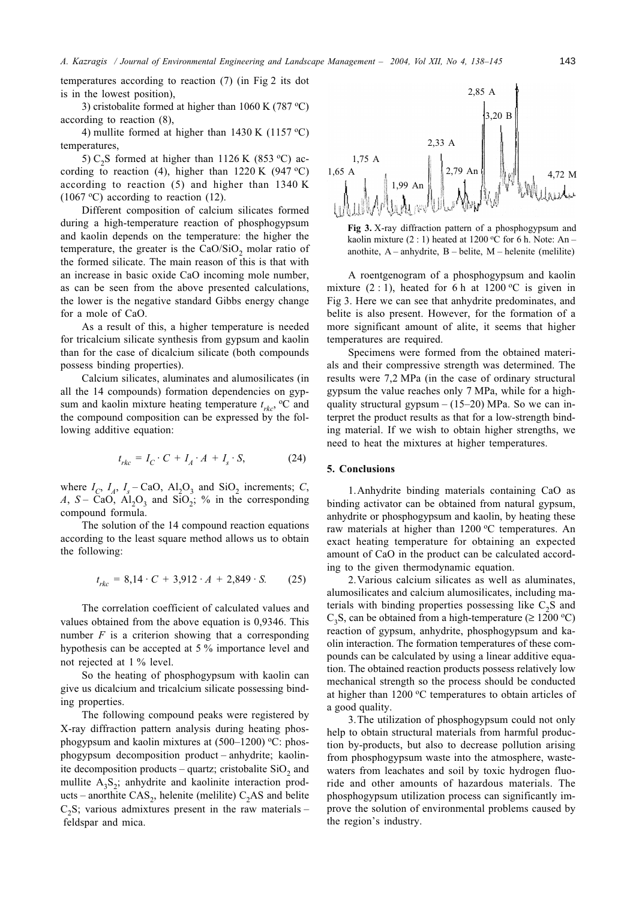temperatures according to reaction  $(7)$  (in Fig 2 its dot is in the lowest position),

3) cristobalite formed at higher than 1060 K (787  $^{\circ}$ C) according to reaction  $(8)$ ,

4) mullite formed at higher than 1430 K (1157 °C) temperatures,

5)  $C_2S$  formed at higher than 1126 K (853 °C) according to reaction (4), higher than 1220 K (947 °C) according to reaction  $(5)$  and higher than 1340 K  $(1067 \degree C)$  according to reaction (12).

Different composition of calcium silicates formed during a high-temperature reaction of phosphogypsum and kaolin depends on the temperature: the higher the temperature, the greater is the  $CaO/SiO<sub>2</sub>$  molar ratio of the formed silicate. The main reason of this is that with an increase in basic oxide CaO incoming mole number, as can be seen from the above presented calculations, the lower is the negative standard Gibbs energy change for a mole of CaO.

As a result of this, a higher temperature is needed for tricalcium silicate synthesis from gypsum and kaolin than for the case of dicalcium silicate (both compounds possess binding properties).

Calcium silicates, aluminates and alumosilicates (in all the 14 compounds) formation dependencies on gypsum and kaolin mixture heating temperature  $t_{rk}$ , <sup>o</sup>C and the compound composition can be expressed by the following additive equation:

$$
t_{rk} = I_C \cdot C + I_A \cdot A + I_s \cdot S,\tag{24}
$$

where  $I_c$ ,  $I_A$ ,  $I_s$  – CaO, Al<sub>2</sub>O<sub>3</sub> and SiO<sub>2</sub> increments; C, A, S – CaO, Al<sub>2</sub>O<sub>3</sub> and SiO<sub>2</sub>; % in the corresponding compound formula.

The solution of the 14 compound reaction equations according to the least square method allows us to obtain the following:

$$
t_{\rm rkc} = 8,14 \cdot C + 3,912 \cdot A + 2,849 \cdot S. \tag{25}
$$

The correlation coefficient of calculated values and values obtained from the above equation is 0,9346. This number  $F$  is a criterion showing that a corresponding hypothesis can be accepted at 5 % importance level and not rejected at 1 % level.

So the heating of phosphogypsum with kaolin can give us dicalcium and tricalcium silicate possessing binding properties.

The following compound peaks were registered by X-ray diffraction pattern analysis during heating phosphogypsum and kaolin mixtures at (500-1200) °C: phosphogypsum decomposition product – anhydrite; kaolinite decomposition products – quartz; cristobalite  $SiO<sub>2</sub>$  and mullite  $A_3S_2$ ; anhydrite and kaolinite interaction products – anorthite  $CAS_2$ , helenite (melilite)  $C_2AS$  and belite  $C_2S$ ; various admixtures present in the raw materials – feldspar and mica.





A roentgenogram of a phosphogypsum and kaolin mixture  $(2:1)$ , heated for 6 h at 1200 °C is given in Fig 3. Here we can see that anhydrite predominates, and belite is also present. However, for the formation of a more significant amount of alite, it seems that higher temperatures are required.

Specimens were formed from the obtained materials and their compressive strength was determined. The results were 7,2 MPa (in the case of ordinary structural gypsum the value reaches only 7 MPa, while for a highquality structural gypsum  $- (15-20)$  MPa. So we can interpret the product results as that for a low-strength binding material. If we wish to obtain higher strengths, we need to heat the mixtures at higher temperatures.

### 5. Conclusions

1. Anhydrite binding materials containing CaO as binding activator can be obtained from natural gypsum, anhydrite or phosphogypsum and kaolin, by heating these raw materials at higher than 1200 °C temperatures. An exact heating temperature for obtaining an expected amount of CaO in the product can be calculated according to the given thermodynamic equation.

2. Various calcium silicates as well as aluminates, alumosilicates and calcium alumosilicates, including materials with binding properties possessing like  $C_2S$  and  $C_3S$ , can be obtained from a high-temperature ( $\geq 1200 \degree C$ ) reaction of gypsum, anhydrite, phosphogypsum and kaolin interaction. The formation temperatures of these compounds can be calculated by using a linear additive equation. The obtained reaction products possess relatively low mechanical strength so the process should be conducted at higher than 1200 °C temperatures to obtain articles of a good quality.

3. The utilization of phosphogypsum could not only help to obtain structural materials from harmful production by-products, but also to decrease pollution arising from phosphogypsum waste into the atmosphere, wastewaters from leachates and soil by toxic hydrogen fluoride and other amounts of hazardous materials. The phosphogypsum utilization process can significantly improve the solution of environmental problems caused by the region's industry.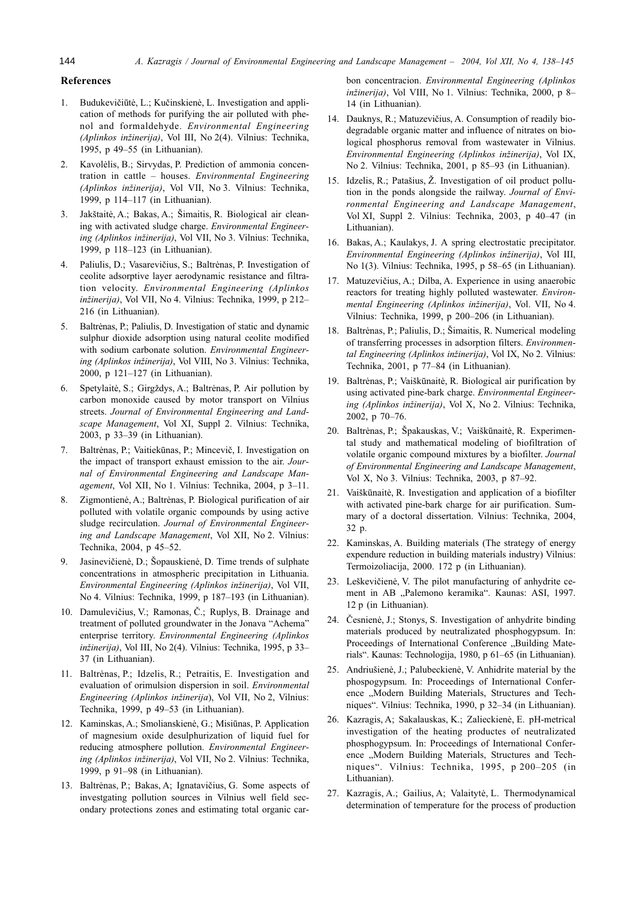## **References**

- 1. Budukevičiūtė, L.; Kučinskienė, L. Investigation and application of methods for purifying the air polluted with phenol and formaldehyde. Environmental Engineering (Aplinkos inžinerija), Vol III, No 2(4). Vilnius: Technika, 1995, p 49-55 (in Lithuanian).
- 2. Kavolėlis, B.; Sirvydas, P. Prediction of ammonia concentration in cattle - houses. Environmental Engineering (Aplinkos inžinerija), Vol VII, No 3. Vilnius: Technika, 1999, p 114-117 (in Lithuanian).
- Jakštaitė, A.; Bakas, A.; Šimaitis, R. Biological air clean- $3.$ ing with activated sludge charge. Environmental Engineering (Aplinkos inžinerija), Vol VII, No 3. Vilnius: Technika, 1999, p 118-123 (in Lithuanian).
- 4. Paliulis, D.; Vasarevičius, S.; Baltrėnas, P. Investigation of ceolite adsorptive layer aerodynamic resistance and filtration velocity. Environmental Engineering (Aplinkos inžinerija), Vol VII, No 4. Vilnius: Technika, 1999, p 212-216 (in Lithuanian).
- 5. Baltrėnas, P.; Paliulis, D. Investigation of static and dynamic sulphur dioxide adsorption using natural ceolite modified with sodium carbonate solution. Environmental Engineering (Aplinkos inžinerija), Vol VIII, No 3. Vilnius: Technika, 2000, p 121-127 (in Lithuanian).
- 6. Spetylaitė, S.; Girgždys, A.; Baltrėnas, P. Air pollution by carbon monoxide caused by motor transport on Vilnius streets. Journal of Environmental Engineering and Landscape Management, Vol XI, Suppl 2. Vilnius: Technika, 2003, p 33-39 (in Lithuanian).
- 7. Baltrėnas, P.; Vaitiekūnas, P.; Mincevič, I. Investigation on the impact of transport exhaust emission to the air. Journal of Environmental Engineering and Landscape Management, Vol XII, No 1. Vilnius: Technika, 2004, p 3-11.
- $8<sup>1</sup>$ Zigmontienė, A.; Baltrėnas, P. Biological purification of air polluted with volatile organic compounds by using active sludge recirculation. Journal of Environmental Engineering and Landscape Management, Vol XII, No 2. Vilnius: Technika, 2004, p 45-52.
- 9. Jasinevičienė, D.; Šopauskienė, D. Time trends of sulphate concentrations in atmospheric precipitation in Lithuania. Environmental Engineering (Aplinkos inžinerija), Vol VII, No 4. Vilnius: Technika, 1999, p 187-193 (in Lithuanian).
- 10. Damulevičius, V.; Ramonas, Č.; Ruplys, B. Drainage and treatment of polluted groundwater in the Jonava "Achema" enterprise territory. Environmental Engineering (Aplinkos inžinerija), Vol III, No 2(4). Vilnius: Technika, 1995, p 33-37 (in Lithuanian).
- 11. Baltrėnas, P.; Idzelis, R.; Petraitis, E. Investigation and evaluation of orimulsion dispersion in soil. Environmental Engineering (Aplinkos inžinerija), Vol VII, No 2, Vilnius: Technika, 1999, p 49-53 (in Lithuanian).
- 12. Kaminskas, A.; Smolianskienė, G.; Misiūnas, P. Application of magnesium oxide desulphurization of liquid fuel for reducing atmosphere pollution. Environmental Engineering (Aplinkos inžinerija), Vol VII, No 2. Vilnius: Technika, 1999, p 91-98 (in Lithuanian).
- 13. Baltrėnas, P.; Bakas, A; Ignatavičius, G. Some aspects of investgating pollution sources in Vilnius well field secondary protections zones and estimating total organic car-

bon concentracion. Environmental Engineering (Aplinkos inžinerija), Vol VIII, No 1. Vilnius: Technika, 2000, p 8-14 (in Lithuanian).

- 14. Dauknys, R.; Matuzevičius, A. Consumption of readily biodegradable organic matter and influence of nitrates on biological phosphorus removal from wastewater in Vilnius. Environmental Engineering (Aplinkos inžinerija), Vol IX, No 2. Vilnius: Technika, 2001, p 85-93 (in Lithuanian).
- 15. Idzelis, R.: Patašius, Ž. Investigation of oil product pollution in the ponds alongside the railway. Journal of Environmental Engineering and Landscape Management, Vol XI, Suppl 2. Vilnius: Technika, 2003, p 40–47 (in Lithuanian).
- 16. Bakas, A.; Kaulakys, J. A spring electrostatic precipitator. Environmental Engineering (Aplinkos inžinerija), Vol III, No 1(3). Vilnius: Technika, 1995, p 58-65 (in Lithuanian).
- 17. Matuzevičius, A.; Dilba, A. Experience in using anaerobic reactors for treating highly polluted wastewater. Environmental Engineering (Aplinkos inžinerija), Vol. VII, No 4. Vilnius: Technika, 1999, p 200-206 (in Lithuanian).
- 18. Baltrėnas, P.; Paliulis, D.; Šimaitis, R. Numerical modeling of transferring processes in adsorption filters. Environmental Engineering (Aplinkos inžinerija), Vol IX, No 2. Vilnius: Technika, 2001, p 77-84 (in Lithuanian).
- 19. Baltrėnas, P.; Vaiškūnaitė, R. Biological air purification by using activated pine-bark charge. Environmental Engineering (Aplinkos inžinerija), Vol X, No 2. Vilnius: Technika, 2002, p 70-76.
- 20. Baltrėnas, P.; Špakauskas, V.; Vaiškūnaitė, R. Experimental study and mathematical modeling of biofiltration of volatile organic compound mixtures by a biofilter. Journal of Environmental Engineering and Landscape Management, Vol X, No 3. Vilnius: Technika, 2003, p 87-92.
- 21. Vaiškūnaitė, R. Investigation and application of a biofilter with activated pine-bark charge for air purification. Summary of a doctoral dissertation. Vilnius: Technika, 2004, 32 p.
- 22. Kaminskas, A. Building materials (The strategy of energy expendure reduction in building materials industry) Vilnius: Termoizoliacija, 2000. 172 p (in Lithuanian).
- 23. Leškevičienė, V. The pilot manufacturing of anhydrite cement in AB "Palemono keramika". Kaunas: ASI, 1997. 12 p (in Lithuanian).
- 24. Česnienė, J.; Stonys, S. Investigation of anhydrite binding materials produced by neutralizated phosphogypsum. In: Proceedings of International Conference "Building Materials". Kaunas: Technologija, 1980, p 61–65 (in Lithuanian).
- 25. Andriušienė, J.; Palubeckienė, V. Anhidrite material by the phospogypsum. In: Proceedings of International Conference "Modern Building Materials, Structures and Techniques". Vilnius: Technika, 1990, p 32-34 (in Lithuanian).
- 26. Kazragis, A; Sakalauskas, K.; Zalieckienė, E. pH-metrical investigation of the heating productes of neutralizated phosphogypsum. In: Proceedings of International Conference "Modern Building Materials, Structures and Techniques". Vilnius: Technika, 1995, p 200-205 (in Lithuanian).
- 27. Kazragis, A.; Gailius, A; Valaitytė, L. Thermodynamical determination of temperature for the process of production